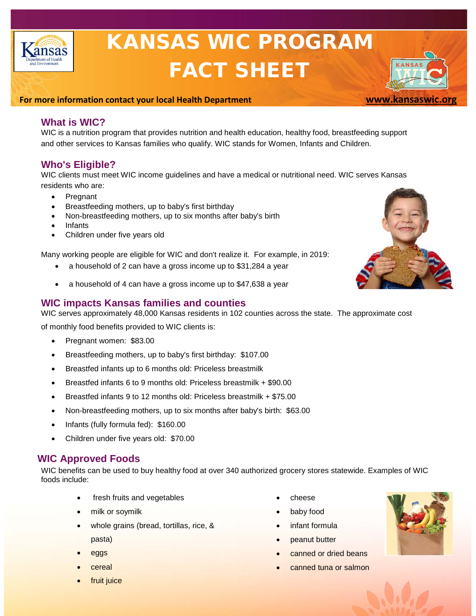

# KANSAS WIC PROGRAM FACT SHEET

#### **For more information contact your local Health Department [www.kansaswic.org](http://www.kansaswic.org/)**

# **What is WIC?**

WIC is a nutrition program that provides nutrition and health education, healthy food, breastfeeding support and other services to Kansas families who qualify. WIC stands for Women, Infants and Children.

## **Who's Eligible?**

WIC clients must meet WIC [income guidelines](http://www.kansaswic.org/manual/CRT_06_01_00_Income_Eligibility_Chart.pdf) and have a medical or nutritional need. WIC serves Kansas residents who are:

- Pregnant
- Breastfeeding mothers, up to baby's first birthday
- Non-breastfeeding mothers, up to six months after baby's birth
- **Infants**
- Children under five years old

Many working people are eligible for WIC and don't realize it. For example, in 2019:

- a household of 2 can have a gross income up to \$31,284 a year
- a household of 4 can have a gross income up to \$47,638 a year

## **WIC impacts Kansas families and counties**

WIC serves approximately 48,000 Kansas residents in 102 counties across the state. The approximate cost

of monthly food benefits provided to WIC clients is:

- Pregnant women: \$83.00
- Breastfeeding mothers, up to baby's first birthday: \$107.00
- Breastfed infants up to 6 months old: Priceless breastmilk
- Breastfed infants 6 to 9 months old: Priceless breastmilk + \$90.00
- Breastfed infants 9 to 12 months old: Priceless breastmilk + \$75.00
- Non-breastfeeding mothers, up to six months after baby's birth: \$63.00
- Infants (fully formula fed): \$160.00
- Children under five years old: \$70.00

# **WIC Approved Foods**

WIC benefits can be used to buy healthy food at over 340 authorized grocery stores statewide. Examples of WIC foods include:

- fresh fruits and vegetables
- milk or soymilk
- whole grains (bread, tortillas, rice, & pasta)
- eggs
- **cereal**
- fruit juice
- cheese
- baby food
- infant formula
- peanut butter
- canned or dried beans
- canned tuna or salmon